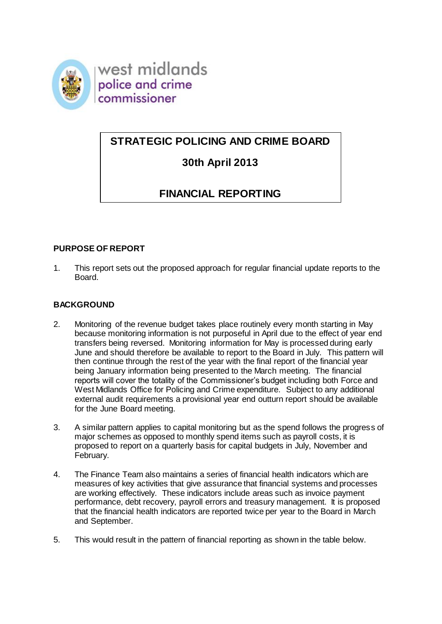

west midlands police and crime commissioner

## **STRATEGIC POLICING AND CRIME BOARD**

# **30th April 2013**

# **FINANCIAL REPORTING**

## **PURPOSE OF REPORT**

1. This report sets out the proposed approach for regular financial update reports to the Board.

## **BACKGROUND**

- 2. Monitoring of the revenue budget takes place routinely every month starting in May because monitoring information is not purposeful in April due to the effect of year end transfers being reversed. Monitoring information for May is processed during early June and should therefore be available to report to the Board in July. This pattern will then continue through the rest of the year with the final report of the financial year being January information being presented to the March meeting. The financial reports will cover the totality of the Commissioner's budget including both Force and West Midlands Office for Policing and Crime expenditure. Subject to any additional external audit requirements a provisional year end outturn report should be available for the June Board meeting.
- 3. A similar pattern applies to capital monitoring but as the spend follows the progress of major schemes as opposed to monthly spend items such as payroll costs, it is proposed to report on a quarterly basis for capital budgets in July, November and February.
- 4. The Finance Team also maintains a series of financial health indicators which are measures of key activities that give assurance that financial systems and processes are working effectively. These indicators include areas such as invoice payment performance, debt recovery, payroll errors and treasury management. It is proposed that the financial health indicators are reported twice per year to the Board in March and September.
- 5. This would result in the pattern of financial reporting as shown in the table below.